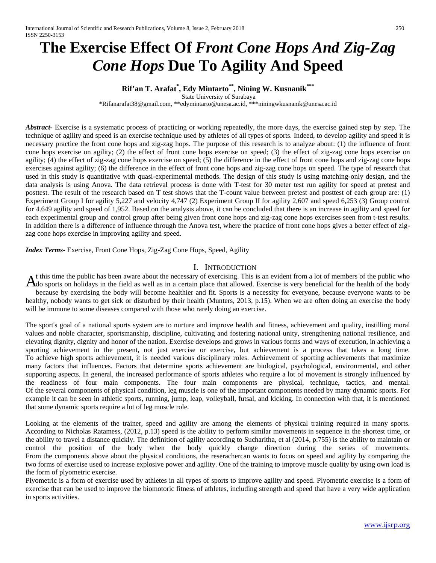# **The Exercise Effect Of** *Front Cone Hops And Zig-Zag Cone Hops* **Due To Agility And Speed**

## **Rif'an T. Arafat\* , Edy Mintarto\*\*, Nining W. Kusnanik\*\*\***

State University of Surabaya

\*Rifanarafat38@gmail.com, \*\*edymintarto@unesa.ac.id, \*\*[\\*niningwkusnanik@unesa.ac.id](mailto:niningwkusnanik@unesa.ac.id3)

*Abstract* Exercise is a systematic process of practicing or working repeatedly, the more days, the exercise gained step by step. The technique of agility and speed is an exercise technique used by athletes of all types of sports. Indeed, to develop agility and speed it is necessary practice the front cone hops and zig-zag hops. The purpose of this research is to analyze about: (1) the influence of front cone hops exercise on agility; (2) the effect of front cone hops exercise on speed; (3) the effect of zig-zag cone hops exercise on agility; (4) the effect of zig-zag cone hops exercise on speed; (5) the difference in the effect of front cone hops and zig-zag cone hops exercises against agility; (6) the difference in the effect of front cone hops and zig-zag cone hops on speed. The type of research that used in this study is quantitative with quasi-experimental methods. The design of this study is using matching-only design, and the data analysis is using Anova. The data retrieval process is done with T-test for 30 meter test run agility for speed at pretest and posttest. The result of the research based on T test shows that the T-count value between pretest and posttest of each group are: (1) Experiment Group I for agility 5,227 and velocity 4,747 (2) Experiment Group II for agility 2,607 and speed 6,253 (3) Group control for 4.649 agility and speed of 1,952. Based on the analysis above, it can be concluded that there is an increase in agility and speed for each experimental group and control group after being given front cone hops and zig-zag cone hops exercises seen from t-test results. In addition there is a difference of influence through the Anova test, where the practice of front cone hops gives a better effect of zigzag cone hops exercise in improving agility and speed.

*Index Terms***-** Exercise, Front Cone Hops, Zig-Zag Cone Hops, Speed, Agility

#### I. INTRODUCTION

t this time the public has been aware about the necessary of exercising. This is an evident from a lot of members of the public who  $A<sup>t</sup>$  this time the public has been aware about the necessary of exercising. This is an evident from a lot of members of the public who  $A<sup>t</sup>$  of sports on holidays in the field as well as in a certain place that a because by exercising the body will become healthier and fit. Sports is a necessity for everyone, because everyone wants to be healthy, nobody wants to get sick or disturbed by their health (Munters, 2013, p.15). When we are often doing an exercise the body will be immune to some diseases compared with those who rarely doing an exercise.

The sport's goal of a national sports system are to nurture and improve health and fitness, achievement and quality, instilling moral values and noble character, sportsmanship, discipline, cultivating and fostering national unity, strengthening national resilience, and elevating dignity, dignity and honor of the nation. Exercise develops and grows in various forms and ways of execution, in achieving a sporting achievement in the present, not just exercise or exercise, but achievement is a process that takes a long time. To achieve high sports achievement, it is needed various disciplinary roles. Achievement of sporting achievements that maximize many factors that influences. Factors that determine sports achievement are biological, psychological, environmental, and other supporting aspects. In general, the increased performance of sports athletes who require a lot of movement is strongly influenced by the readiness of four main components. The four main components are physical, technique, tactics, and mental. Of the several components of physical condition, leg muscle is one of the important components needed by many dynamic sports. For example it can be seen in athletic sports, running, jump, leap, volleyball, futsal, and kicking. In connection with that, it is mentioned that some dynamic sports require a lot of leg muscle role.

Looking at the elements of the trainer, speed and agility are among the elements of physical training required in many sports. According to Nicholas Ratamess, (2012, p.13) speed is the ability to perform similar movements in sequence in the shortest time, or the ability to travel a distance quickly. The definition of agility according to Sucharitha, et al (2014, p.755) is the ability to maintain or control the position of the body when the body quickly change direction during the series of movements. From the components above about the physical conditions, the reserachercan wants to focus on speed and agility by comparing the two forms of exercise used to increase explosive power and agility. One of the training to improve muscle quality by using own load is the form of plyometric exercise.

Plyometric is a form of exercise used by athletes in all types of sports to improve agility and speed. Plyometric exercise is a form of exercise that can be used to improve the biomotoric fitness of athletes, including strength and speed that have a very wide application in sports activities.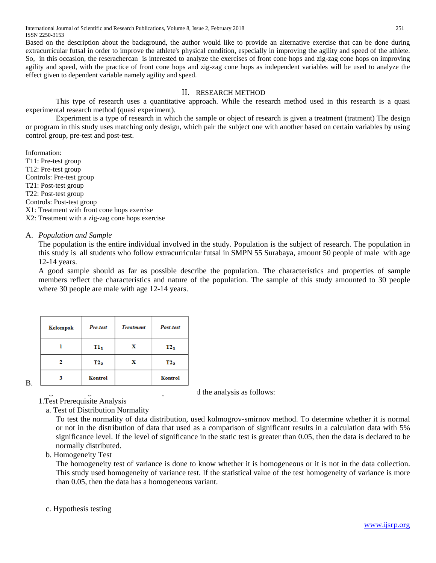Based on the description about the background, the author would like to provide an alternative exercise that can be done during extracurricular futsal in order to improve the athlete's physical condition, especially in improving the agility and speed of the athlete. So, in this occasion, the reserachercan is interested to analyze the exercises of front cone hops and zig-zag cone hops on improving agility and speed, with the practice of front cone hops and zig-zag cone hops as independent variables will be used to analyze the effect given to dependent variable namely agility and speed.

## II. RESEARCH METHOD

This type of research uses a quantitative approach. While the research method used in this research is a quasi experimental research method (quasi experiment).

Experiment is a type of research in which the sample or object of research is given a treatment (tratment) The design or program in this study uses matching only design, which pair the subject one with another based on certain variables by using control group, pre-test and post-test.

Information: T11: Pre-test group T12: Pre-test group Controls: Pre-test group T21: Post-test group T22: Post-test group Controls: Post-test group X1: Treatment with front cone hops exercise X2: Treatment with a zig-zag cone hops exercise

## A. *Population and Sample*

The population is the entire individual involved in the study. Population is the subject of research. The population in this study is all students who follow extracurricular futsal in SMPN 55 Surabaya, amount 50 people of male with age 12-14 years.

A good sample should as far as possible describe the population. The characteristics and properties of sample members reflect the characteristics and nature of the population. The sample of this study amounted to 30 people where 30 people are male with age 12-14 years.

|    | Kelompok | Pre-test        | <b>Treatment</b> | Post-test |  |  |
|----|----------|-----------------|------------------|-----------|--|--|
|    |          | TI <sub>1</sub> | х                | $T2_1$    |  |  |
|    |          | $T2_2$          | x                | $T2_2$    |  |  |
| В. |          | Kontrol         |                  | Kontrol   |  |  |

 $\frac{1}{2}$  the analysis as follows:

1.Test Prerequisite Analysis

a. Test of Distribution Normality

To test the normality of data distribution, used kolmogrov-smirnov method. To determine whether it is normal or not in the distribution of data that used as a comparison of significant results in a calculation data with 5% significance level. If the level of significance in the static test is greater than 0.05, then the data is declared to be normally distributed.

## b. Homogeneity Test

The homogeneity test of variance is done to know whether it is homogeneous or it is not in the data collection. This study used homogeneity of variance test. If the statistical value of the test homogeneity of variance is more than 0.05, then the data has a homogeneous variant.

## c. Hypothesis testing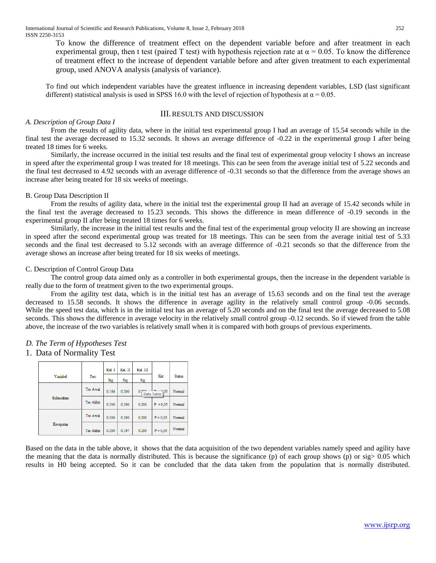To know the difference of treatment effect on the dependent variable before and after treatment in each experimental group, then t test (paired T test) with hypothesis rejection rate at  $\alpha = 0.05$ . To know the difference of treatment effect to the increase of dependent variable before and after given treatment to each experimental group, used ANOVA analysis (analysis of variance).

To find out which independent variables have the greatest influence in increasing dependent variables, LSD (last significant different) statistical analysis is used in SPSS 16.0 with the level of rejection of hypothesis at  $\alpha = 0.05$ .

#### III.RESULTS AND DISCUSSION

#### *A. Description of Group Data I*

From the results of agility data, where in the initial test experimental group I had an average of 15.54 seconds while in the final test the average decreased to 15.32 seconds. It shows an average difference of -0.22 in the experimental group I after being treated 18 times for 6 weeks.

Similarly, the increase occurred in the initial test results and the final test of experimental group velocity I shows an increase in speed after the experimental group I was treated for 18 meetings. This can be seen from the average initial test of 5.22 seconds and the final test decreased to 4.92 seconds with an average difference of -0.31 seconds so that the difference from the average shows an increase after being treated for 18 six weeks of meetings.

#### B. Group Data Description II

From the results of agility data, where in the initial test the experimental group II had an average of 15.42 seconds while in the final test the average decreased to 15.23 seconds. This shows the difference in mean difference of -0.19 seconds in the experimental group II after being treated 18 times for 6 weeks.

Similarly, the increase in the initial test results and the final test of the experimental group velocity II are showing an increase in speed after the second experimental group was treated for 18 meetings. This can be seen from the average initial test of 5.33 seconds and the final test decreased to 5.12 seconds with an average difference of -0.21 seconds so that the difference from the average shows an increase after being treated for 18 six weeks of meetings.

#### C. Description of Control Group Data

The control group data aimed only as a controller in both experimental groups, then the increase in the dependent variable is really due to the form of treatment given to the two experimental groups.

From the agility test data, which is in the initial test has an average of 15.63 seconds and on the final test the average decreased to 15.58 seconds. It shows the difference in average agility in the relatively small control group -0.06 seconds. While the speed test data, which is in the initial test has an average of 5.20 seconds and on the final test the average decreased to 5.08 seconds. This shows the difference in average velocity in the relatively small control group -0.12 seconds. So if viewed from the table above, the increase of the two variables is relatively small when it is compared with both groups of previous experiments.

#### *D. The Term of Hypotheses Test*

#### 1. Data of Normality Test

|            |                 | Kel I | Kel. II | Kel. III           |                       |               |
|------------|-----------------|-------|---------|--------------------|-----------------------|---------------|
| Variabel   | Test            | Sig   | Sig     | Sig                | Ket                   | <b>Status</b> |
|            | Tes Awal        | 0.164 | 0.200   | 0.2 <sup>0.0</sup> | $-9.05$<br>Data Table | Normal        |
| Kelincahan | Tes Akhir       | 0.200 | 0.200   | 0.200              | P > 0.05              | Normal        |
|            | <b>Tes Awal</b> | 0.200 | 0.200   | 0.200              | P > 0.05              | Normal        |
| Kecepatan  | Tes Akhir       | 0.200 | 0.197   | 0.200              | P > 0.05              | Normal        |

Based on the data in the table above, it shows that the data acquisition of the two dependent variables namely speed and agility have the meaning that the data is normally distributed. This is because the significance (p) of each group shows (p) or  $sig > 0.05$  which results in H0 being accepted. So it can be concluded that the data taken from the population that is normally distributed.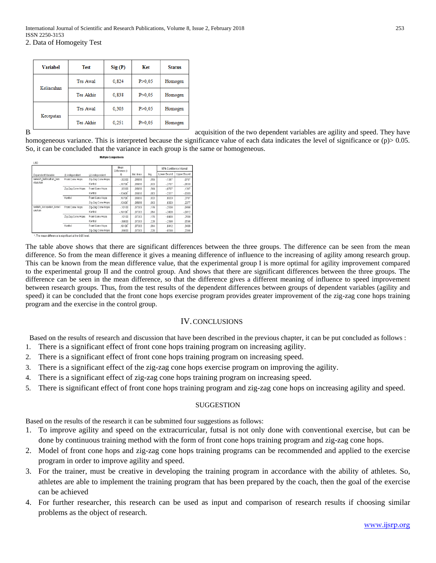Variahel Test  $Sig(P)$ Ket **Status** Tes Awal 0.824  $P > 0.05$ Homogen Kelincahan Tes Akhir 0.838  $P > 0.05$ Homogen Tes Awal 0,303  $P > 0,05$ Homogen Kecepatan Tes Akhir 0.251  $P > 0.05$ Homogen

Based on the data of the two dependent variables are agility and speed. They have

homogeneous variance. This is interpreted because the significance value of each data indicates the level of significance or (p) > 0.05. So, it can be concluded that the variance in each group is the same or homogeneous.

| <b>LSD</b>              |                   |                   | Mean                 |            |      | 95% Confidence Interval |             |
|-------------------------|-------------------|-------------------|----------------------|------------|------|-------------------------|-------------|
| Dependent Variable      | (I) independent   | (J) independent   | Difference (l-<br>J) | Std. Error | Sig. | Lower Bound             | Upper Bound |
| selesih kelincahan kes  | Front Cone Hops   | Zio-Zag Cone Hops | $-03300$             | ,05056     | .519 | $-1367$                 | .0707       |
| eluruhan                |                   | Kontrol           | $-16700$             | .05056     | .003 | $-2707$                 | $-0633$     |
|                         | Zig-Zag Cone Hops | Front Cone Hops   | .03300               | .05056     | ,519 | $-0707$                 | .1367       |
|                         |                   | Kontrol           | $-13400$             | .05056     | .013 | $-2377$                 | $-0303$     |
|                         | Kontrol           | Front Cone Hops   | .16700               | .05056     | .003 | .0633                   | .2707       |
|                         |                   | Zio-Zao Cone Hops | 13400                | ,05056     | .013 | .0303                   | .2377       |
| selisih kecepatan kesel | Front Cone Hops   | Zio-Zao Cone Hops | $-10100$             | .07303     | .178 | $-2508$                 | .0488       |
| uruhan                  |                   | Kontrol           | $-19100$             | ,07303     | .014 | $-3408$                 | $-0412$     |
|                         | Zig-Zag Cone Hops | Front Cone Hops   | 10100                | .07303     | .178 | $-0488$                 | .2508       |
|                         |                   | Kontrol           | $-09000$             | ,07303     | ,228 | $-2398$                 | ,0598       |
|                         | Kontrol           | Front Cone Hops   | 19100                | .07303     | .014 | .0412                   | .3408       |
|                         |                   | Zig-Zag Cone Hops | 09000                | .07303     | ,228 | $-0598$                 | .2398       |

**Multiple Comparisons** 

\*. The mean difference is significant at the 0.05 level.

The table above shows that there are significant differences between the three groups. The difference can be seen from the mean difference. So from the mean difference it gives a meaning difference of influence to the increasing of agility among research group. This can be known from the mean difference value, that the experimental group I is more optimal for agility improvement compared to the experimental group II and the control group. And shows that there are significant differences between the three groups. The difference can be seen in the mean difference, so that the difference gives a different meaning of influence to speed improvement between research groups. Thus, from the test results of the dependent differences between groups of dependent variables (agility and speed) it can be concluded that the front cone hops exercise program provides greater improvement of the zig-zag cone hops training program and the exercise in the control group.

## IV.CONCLUSIONS

Based on the results of research and discussion that have been described in the previous chapter, it can be put concluded as follows :

- 1. There is a significant effect of front cone hops training program on increasing agility.
- 2. There is a significant effect of front cone hops training program on increasing speed.
- 3. There is a significant effect of the zig-zag cone hops exercise program on improving the agility.
- 4. There is a significant effect of zig-zag cone hops training program on increasing speed.
- 5. There is significant effect of front cone hops training program and zig-zag cone hops on increasing agility and speed.

#### **SUGGESTION**

Based on the results of the research it can be submitted four suggestions as follows:

- 1. To improve agility and speed on the extracurricular, futsal is not only done with conventional exercise, but can be done by continuous training method with the form of front cone hops training program and zig-zag cone hops.
- 2. Model of front cone hops and zig-zag cone hops training programs can be recommended and applied to the exercise program in order to improve agility and speed.
- 3. For the trainer, must be creative in developing the training program in accordance with the ability of athletes. So, athletes are able to implement the training program that has been prepared by the coach, then the goal of the exercise can be achieved
- 4. For further researcher, this research can be used as input and comparison of research results if choosing similar problems as the object of research.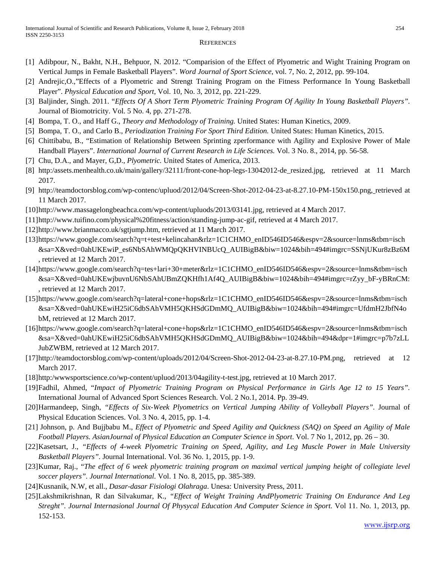#### **REFERENCES**

- [1] Adibpour, N., Bakht, N.H., Behpuor, N. 2012. "Comparision of the Effect of Plyometric and Wight Training Program on Vertical Jumps in Female Basketball Players". *Word Journal of Sport Science*, vol. 7, No. 2, 2012, pp. 99-104.
- [2] Andrejic,O.,"Effects of a Plyometric and Strengt Training Program on the Fitness Performance In Young Basketball Player". *Physical Education and Sport*, Vol. 10, No. 3, 2012, pp. 221-229.
- [3] Baljinder, Singh. 2011. "*Effects Of A Short Term Plyometric Training Program Of Agility In Young Basketball Players".*  Journal of Biomotricity. Vol. 5 No. 4, pp. 271-278.
- [4] Bompa, T. O., and Haff G., *Theory and Methodology of Training.* United States: Human Kinetics, 2009.
- [5] Bompa, T. O., and Carlo B., *Periodization Training For Sport Third Edition.* United States: Human Kinetics, 2015.
- [6] Chittibabu, B., "Estimation of Relationship Between Sprinting zperformance with Agility and Explosive Power of Male Handball Players". *International Journal of Current Research in Life Sciences.* Vol. 3 No. 8., 2014, pp. 56-58.
- [7] Chu, D.A., and Mayer, G,D., *Plyometric.* United States of America, 2013.
- [8] http:/assets.menhealth.co.uk/main/gallery/32111/front-cone-hop-legs-13042012-de\_resized.jpg, retrieved at 11 March 2017.
- [9] [http://teamdoctorsblog.com/wp-contenc/upluod/2012/04/Screen-Shot-2012-04-23-at-8.27.10-PM-150x150.png,](http://teamdoctorsblog.com/wp-contenc/upluod/2012/04/Screen-Shot-2012-04-23-at-8.27.10-PM-150x150.png) retrieved at 11 March 2017.
- [10[\]http://www.massagelongbeachca.com/wp-content/upluods/2013/03141.jpg,](http://www.massagelongbeachca.com/wp-content/upluods/2013/03141.jpg) retrieved at 4 March 2017.
- [11[\]http://www.tuifino.com/physical%20fitness/action/standing-jump-ac-gif,](http://www.tuifino.com/physical%20fitness/action/standing-jump-ac-gif) retrieved at 4 March 2017.
- [12[\]http://www.brianmacco.uk/sgtjump.htm,](http://www.brianmacco.uk/sgtjump.htm) retrieved at 11 March 2017.
- [\[13\]https://www.google.com/search?q=t+test+kelincahan&rlz=1C1CHMO\\_enID546ID546&espv=2&source=lnms&tbm=isch](https://www.google.com/search?q=t+test+kelincahan&rlz=1C1CHMO_enID546ID546&espv=2&source=lnms&tbm=isch&sa=X&ved=0ahUKEwiP_es6NbSAhWMQpQKHVINBUcQ_AUIBigB&biw=1024&bih=494#imgrc=SSNjUKur8zBz6M) [&sa=X&ved=0ahUKEwiP\\_es6NbSAhWMQpQKHVINBUcQ\\_AUIBigB&biw=1024&bih=494#imgrc=SSNjUKur8zBz6M](https://www.google.com/search?q=t+test+kelincahan&rlz=1C1CHMO_enID546ID546&espv=2&source=lnms&tbm=isch&sa=X&ved=0ahUKEwiP_es6NbSAhWMQpQKHVINBUcQ_AUIBigB&biw=1024&bih=494#imgrc=SSNjUKur8zBz6M) , retrieved at 12 March 2017.
- [\[14\]https://www.google.com/search?q=tes+lari+30+meter&rlz=1C1CHMO\\_enID546ID546&espv=2&source=lnms&tbm=isch](https://www.google.com/search?q=tes+lari+30+meter&rlz=1C1CHMO_enID546ID546&espv=2&source=lnms&tbm=isch&sa=X&ved=0ahUKEwjbuvnU6NbSAhUBmZQKHfh1Af4Q_AUIBigB&biw=1024&bih=494#imgrc=rZyy_bF-yBRnCM) [&sa=X&ved=0ahUKEwjbuvnU6NbSAhUBmZQKHfh1Af4Q\\_AUIBigB&biw=1024&bih=494#imgrc=rZyy\\_bF-yBRnCM:](https://www.google.com/search?q=tes+lari+30+meter&rlz=1C1CHMO_enID546ID546&espv=2&source=lnms&tbm=isch&sa=X&ved=0ahUKEwjbuvnU6NbSAhUBmZQKHfh1Af4Q_AUIBigB&biw=1024&bih=494#imgrc=rZyy_bF-yBRnCM) , retrieved at 12 March 2017.
- [\[15\]https://www.google.com/search?q=lateral+cone+hops&rlz=1C1CHMO\\_enID546ID546&espv=2&source=lnms&tbm=isch](https://www.google.com/search?q=lateral+cone+hops&rlz=1C1CHMO_enID546ID546&espv=2&source=lnms&tbm=isch&sa=X&ved=0ahUKEwiH25iC6dbSAhVMH5QKHSdGDmMQ_AUIBigB&biw=1024&bih=494#imgrc=UfdmH2JbfN4obM) [&sa=X&ved=0ahUKEwiH25iC6dbSAhVMH5QKHSdGDmMQ\\_AUIBigB&biw=1024&bih=494#imgrc=UfdmH2JbfN4o](https://www.google.com/search?q=lateral+cone+hops&rlz=1C1CHMO_enID546ID546&espv=2&source=lnms&tbm=isch&sa=X&ved=0ahUKEwiH25iC6dbSAhVMH5QKHSdGDmMQ_AUIBigB&biw=1024&bih=494#imgrc=UfdmH2JbfN4obM) [bM,](https://www.google.com/search?q=lateral+cone+hops&rlz=1C1CHMO_enID546ID546&espv=2&source=lnms&tbm=isch&sa=X&ved=0ahUKEwiH25iC6dbSAhVMH5QKHSdGDmMQ_AUIBigB&biw=1024&bih=494#imgrc=UfdmH2JbfN4obM) retrieved at 12 March 2017.
- [16]https://www.google.com/search?q=lateral+cone+hops&rlz=1C1CHMO\_enID546ID546&espv=2&source=lnms&tbm=isch &sa=X&ved=0ahUKEwiH25iC6dbSAhVMH5QKHSdGDmMQ\_AUIBigB&biw=1024&bih=494&dpr=1#imgrc=p7b7zLL JubZWBM, retrieved at 12 March 2017.
- [17[\]http://teamdoctorsblog.com/wp-content/uploads/2012/04/Screen-Shot-2012-04-23-at-8.27.10-PM.png,](http://teamdoctorsblog.com/wp-content/uploads/2012/04/Screen-Shot-2012-04-23-at-8.27.10-PM.png) retrieved at 12 March 2017.
- [18]http:/wwwsportscience.co/wp-content/upluod/2013/04agility-t-test.jpg, retrieved at 10 March 2017.
- [19]Fadhil, Ahmed, "*Impact of Plyometric Training Program on Physical Performance in Girls Age 12 to 15 Years".*  International Journal of Advanced Sport Sciences Research. Vol. 2 No.1, 2014. Pp. 39-49.
- [20]Harmandeep, Singh, "Effects of Six-Week Plyometrics on Vertical Jumping Ability of Volleyball Players". Journal of Physical Education Sciences. Vol. 3 No. 4, 2015, pp. 1-4.
- [21] Johnson, p. And Bujjbabu M., *Effect of Plyometric and Speed Agility and Quickness (SAQ) on Speed an Agility of Male Football Players. AsianJournal of Physical Education an Computer Science in Sport*. Vol. 7 No 1, 2012, pp. 26 – 30.
- [22]Kasetsart, J., *"Effects of 4-week Plyometric Training on Speed, Agility, and Leg Muscle Power in Male University Basketball Players".* Journal International. Vol. 36 No. 1, 2015, pp. 1-9.
- [23]Kumar, Raj., "*The effect of 6 week plyometric training program on maximal vertical jumping height of collegiate level soccer players". Journal International.* Vol. 1 No. 8, 2015, pp. 385-389.
- [24]Kusnanik, N.W, et all., *Dasar-dasar Fisiologi Olahraga*. Unesa: University Press, 2011.
- [25]Lakshmikrishnan, R dan Silvakumar, K., *"Effect of Weight Training AndPlyometric Training On Endurance And Leg Streght". Journal Internasional Journal Of Physycal Education And Computer Science in Sport.* Vol 11. No. 1, 2013, pp. 152-153.